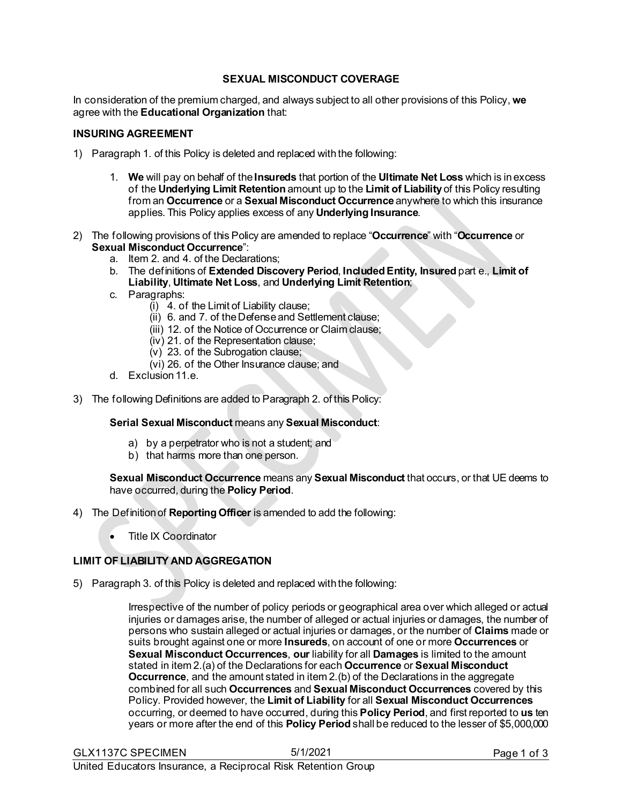#### **SEXUAL MISCONDUCT COVERAGE**

In consideration of the premium charged, and always subject to all other provisions of this Policy, **we** agree with the **Educational Organization** that:

#### **INSURING AGREEMENT**

- 1) Paragraph 1. of this Policy is deleted and replaced with the following:
	- 1. **We** will pay on behalf of the **Insureds** that portion of the **Ultimate Net Loss** which is inexcess of the **Underlying Limit Retention** amount up to the **Limit of Liability** of this Policy resulting from an **Occurrence** or a **Sexual Misconduct Occurrence** anywhere to which this insurance applies. This Policy applies excess of any **Underlying Insurance**.
- 2) The following provisions of this Policy are amended to replace "**Occurrence**" with "**Occurrence** or **Sexual Misconduct Occurrence**":
	- a. Item 2. and 4. of the Declarations;
	- b. The definitions of **Extended Discovery Period**, **Included Entity, Insured** part e., **Limit of Liability**, **Ultimate Net Loss**, and **Underlying Limit Retention**;
	- c. Paragraphs:
		- (i) 4. of the Limit of Liability clause;
		- (ii) 6. and 7. of the Defense and Settlement clause;
		- (iii) 12. of the Notice of Occurrence or Claim clause;
		- (iv) 21. of the Representation clause;
		- $(v)$  23. of the Subrogation clause;
		- (vi) 26. of the Other Insurance clause; and
	- d. Exclusion 11.e.
- 3) The following Definitions are added to Paragraph 2. of this Policy:

#### **Serial Sexual Misconduct** means any **Sexual Misconduct**:

- a) by a perpetrator who is not a student; and
- b) that harms more than one person.

#### **Sexual Misconduct Occurrence** means any **Sexual Misconduct** that occurs, or that UE deems to have occurred, during the **Policy Period**.

- 4) The Definition of **Reporting Officer** is amended to add the following:
	- Title IX Coordinator

## **LIMIT OF LIABILITY AND AGGREGATION**

5) Paragraph 3. of this Policy is deleted and replaced with the following:

Irrespective of the number of policy periods or geographical area over which alleged or actual injuries or damages arise, the number of alleged or actual injuries or damages, the number of persons who sustain alleged or actual injuries or damages, or the number of **Claims** made or suits brought against one or more **Insureds**, on account of one or more **Occurrences** or **Sexual Misconduct Occurrences**, **our** liability for all **Damages** is limited to the amount stated in item 2.(a) of the Declarations for each **Occurrence** or **Sexual Misconduct Occurrence**, and the amount stated in item 2.(b) of the Declarations in the aggregate combined for all such **Occurrences** and **Sexual Misconduct Occurrences** covered by this Policy. Provided however, the **Limit of Liability** for all **Sexual Misconduct Occurrences** occurring, or deemed to have occurred, during this **Policy Period**, and first reported to **us** ten years or more after the end of this **Policy Period** shall be reduced to the lesser of \$5,000,000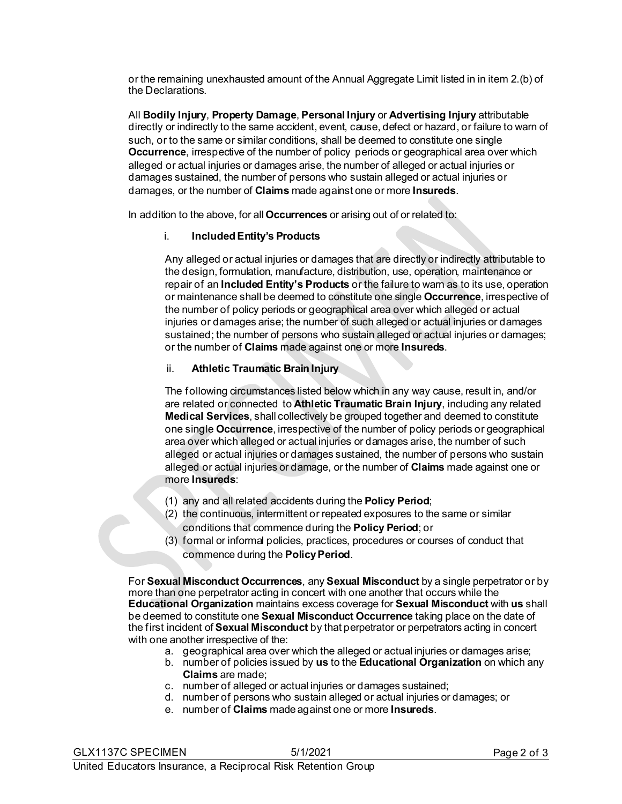or the remaining unexhausted amount of the Annual Aggregate Limit listed in in item 2.(b) of the Declarations.

All **Bodily Injury**, **Property Damage**, **Personal Injury** or **Advertising Injury** attributable directly or indirectly to the same accident, event, cause, defect or hazard, or failure to warn of such, or to the same or similar conditions, shall be deemed to constitute one single **Occurrence**, irrespective of the number of policy periods or geographical area over which alleged or actual injuries or damages arise, the number of alleged or actual injuries or damages sustained, the number of persons who sustain alleged or actual injuries or damages, or the number of **Claims** made against one or more **Insureds**.

In addition to the above, for all **Occurrences** or arising out of or related to:

## i. **Included Entity's Products**

Any alleged or actual injuries or damages that are directly or indirectly attributable to the design, formulation, manufacture, distribution, use, operation, maintenance or repair of an **Included Entity's Products** or the failure to warn as to its use, operation or maintenance shall be deemed to constitute one single **Occurrence**, irrespective of the number of policy periods or geographical area over which alleged or actual injuries or damages arise; the number of such alleged or actual injuries or damages sustained; the number of persons who sustain alleged or actual injuries or damages; or the number of **Claims** made against one or more **Insureds**.

# ii. **Athletic Traumatic Brain Injury**

The following circumstances listed below which in any way cause, result in, and/or are related or connected to **Athletic Traumatic Brain Injury**, including any related **Medical Services**, shall collectively be grouped together and deemed to constitute one single **Occurrence**, irrespective of the number of policy periods or geographical area over which alleged or actual injuries or damages arise, the number of such alleged or actual injuries or damages sustained, the number of persons who sustain alleged or actual injuries or damage, or the number of **Claims** made against one or more **Insureds**:

- (1) any and all related accidents during the **Policy Period**;
- (2) the continuous, intermittent or repeated exposures to the same or similar conditions that commence during the **Policy Period**; or
- (3) formal or informal policies, practices, procedures or courses of conduct that commence during the **Policy Period**.

For **Sexual Misconduct Occurrences**, any **Sexual Misconduct** by a single perpetrator or by more than one perpetrator acting in concert with one another that occurs while the **Educational Organization** maintains excess coverage for **Sexual Misconduct** with **us** shall be deemed to constitute one **Sexual Misconduct Occurrence** taking place on the date of the first incident of **Sexual Misconduct** by that perpetrator or perpetrators acting in concert with one another irrespective of the:

- a. geographical area over which the alleged or actual injuries or damages arise;
- b. number of policies issued by **us** to the **Educational Organization** on which any **Claims** are made;
- c. number of alleged or actual injuries or damages sustained;
- d. number of persons who sustain alleged or actual injuries or damages; or
- e. number of **Claims** made against one or more **Insureds**.